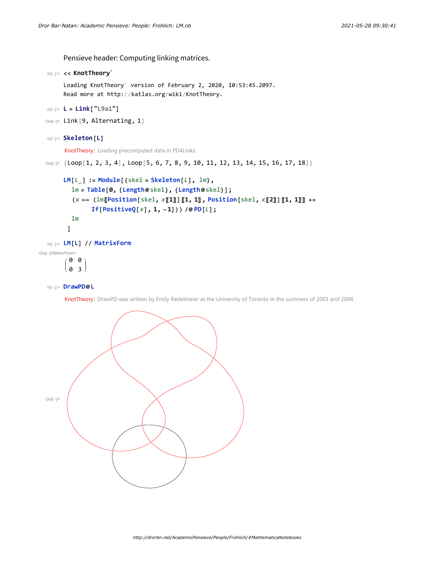Pensieve header: Computing linking matrices.

```
In[ ]:= << KnotTheory`
```
Loading KnotTheory` version of February 2, 2020, 10:53:45.2097. Read more at http://katlas.org/wiki/KnotTheory.

```
In[ ]:= L = Link["L9a1"]
```

```
Out[]= Link[9, Alternating, 1]
```

```
In[ ]:= Skeleton[L]
```
KnotTheory: Loading precomputed data in PD4Links`.

*Out[]=* {Loop[1, 2, 3, 4], Loop[5, 6, 7, 8, 9, 10, 11, 12, 13, 14, 15, 16, 17, 18]}

```
LM[L_] := Module[{skel = Skeleton[L], lm},
           lm = Table[0, {Length@skel}, {Length@skel}];
           (x \mapsto (\text{lm}[\text{Position}[\text{skel}, x[]1]] [1, 1], \text{Position}[\text{skel}, x[]2]] [1, 1]]] +=
                  If[PositiveQ[x], 1, -1])) /@ PD[L];
           lm
         ]
  In[ ]:= LM[L] // MatrixForm
Out[]//MatrixForm=
```
0 0 0 3

*In[ ]:=* **DrawPD@L**

KnotTheory: DrawPD was written by Emily Redelmeier at the University of Toronto in the summers of 2003 and 2004.